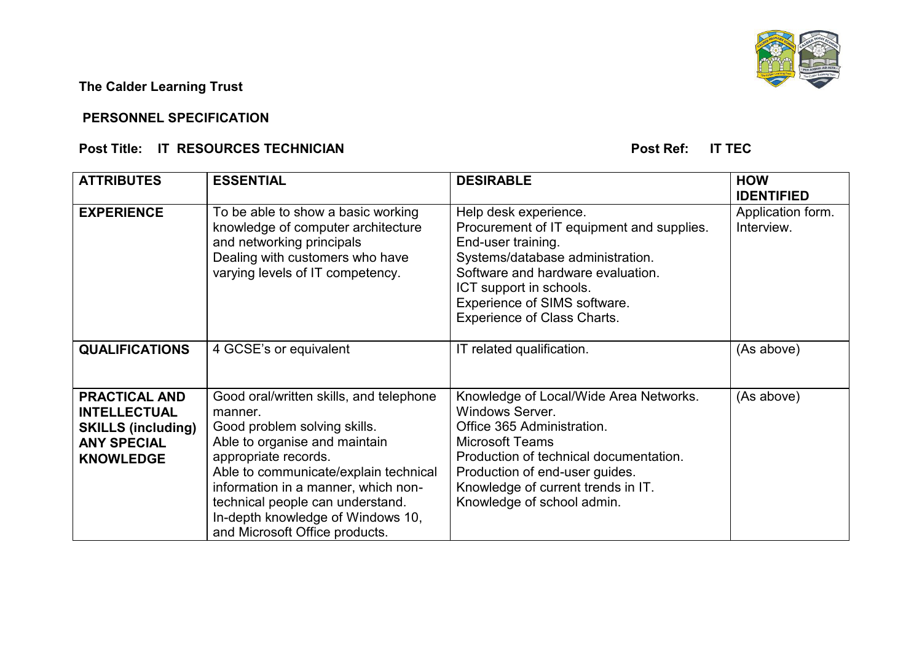**The Calder Learning Trust** 

## **PERSONNEL SPECIFICATION**

## **Post Title: IT RESOURCES TECHNICIAN Post Ref: IT TEC**

| <b>ATTRIBUTES</b>                                                                                                  | <b>ESSENTIAL</b>                                                                                                                                                                                                                                                                                                                       | <b>DESIRABLE</b>                                                                                                                                                                                                                                                   | <b>HOW</b>                                           |
|--------------------------------------------------------------------------------------------------------------------|----------------------------------------------------------------------------------------------------------------------------------------------------------------------------------------------------------------------------------------------------------------------------------------------------------------------------------------|--------------------------------------------------------------------------------------------------------------------------------------------------------------------------------------------------------------------------------------------------------------------|------------------------------------------------------|
| <b>EXPERIENCE</b>                                                                                                  | To be able to show a basic working<br>knowledge of computer architecture<br>and networking principals<br>Dealing with customers who have<br>varying levels of IT competency.                                                                                                                                                           | Help desk experience.<br>Procurement of IT equipment and supplies.<br>End-user training.<br>Systems/database administration.<br>Software and hardware evaluation.<br>ICT support in schools.<br>Experience of SIMS software.<br><b>Experience of Class Charts.</b> | <b>IDENTIFIED</b><br>Application form.<br>Interview. |
| <b>QUALIFICATIONS</b>                                                                                              | 4 GCSE's or equivalent                                                                                                                                                                                                                                                                                                                 | IT related qualification.                                                                                                                                                                                                                                          | (As above)                                           |
| <b>PRACTICAL AND</b><br><b>INTELLECTUAL</b><br><b>SKILLS (including)</b><br><b>ANY SPECIAL</b><br><b>KNOWLEDGE</b> | Good oral/written skills, and telephone<br>manner.<br>Good problem solving skills.<br>Able to organise and maintain<br>appropriate records.<br>Able to communicate/explain technical<br>information in a manner, which non-<br>technical people can understand.<br>In-depth knowledge of Windows 10,<br>and Microsoft Office products. | Knowledge of Local/Wide Area Networks.<br>Windows Server.<br>Office 365 Administration.<br><b>Microsoft Teams</b><br>Production of technical documentation.<br>Production of end-user guides.<br>Knowledge of current trends in IT.<br>Knowledge of school admin.  | (As above)                                           |